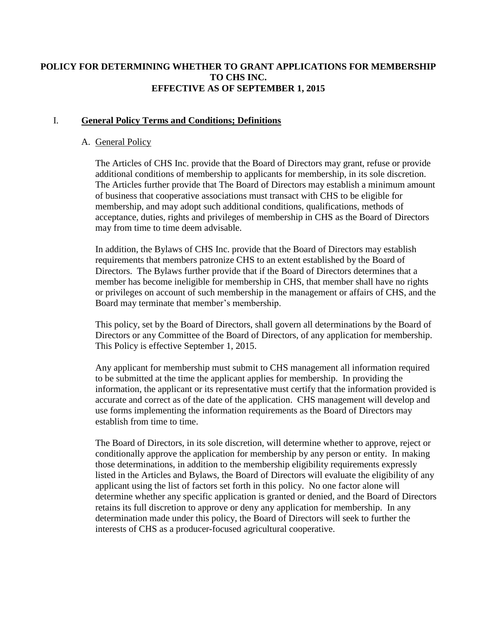### **POLICY FOR DETERMINING WHETHER TO GRANT APPLICATIONS FOR MEMBERSHIP TO CHS INC. EFFECTIVE AS OF SEPTEMBER 1, 2015**

### I. **General Policy Terms and Conditions; Definitions**

#### A. General Policy

The Articles of CHS Inc. provide that the Board of Directors may grant, refuse or provide additional conditions of membership to applicants for membership, in its sole discretion. The Articles further provide that The Board of Directors may establish a minimum amount of business that cooperative associations must transact with CHS to be eligible for membership, and may adopt such additional conditions, qualifications, methods of acceptance, duties, rights and privileges of membership in CHS as the Board of Directors may from time to time deem advisable.

In addition, the Bylaws of CHS Inc. provide that the Board of Directors may establish requirements that members patronize CHS to an extent established by the Board of Directors. The Bylaws further provide that if the Board of Directors determines that a member has become ineligible for membership in CHS, that member shall have no rights or privileges on account of such membership in the management or affairs of CHS, and the Board may terminate that member's membership.

This policy, set by the Board of Directors, shall govern all determinations by the Board of Directors or any Committee of the Board of Directors, of any application for membership. This Policy is effective September 1, 2015.

Any applicant for membership must submit to CHS management all information required to be submitted at the time the applicant applies for membership. In providing the information, the applicant or its representative must certify that the information provided is accurate and correct as of the date of the application. CHS management will develop and use forms implementing the information requirements as the Board of Directors may establish from time to time.

The Board of Directors, in its sole discretion, will determine whether to approve, reject or conditionally approve the application for membership by any person or entity. In making those determinations, in addition to the membership eligibility requirements expressly listed in the Articles and Bylaws, the Board of Directors will evaluate the eligibility of any applicant using the list of factors set forth in this policy. No one factor alone will determine whether any specific application is granted or denied, and the Board of Directors retains its full discretion to approve or deny any application for membership. In any determination made under this policy, the Board of Directors will seek to further the interests of CHS as a producer-focused agricultural cooperative.